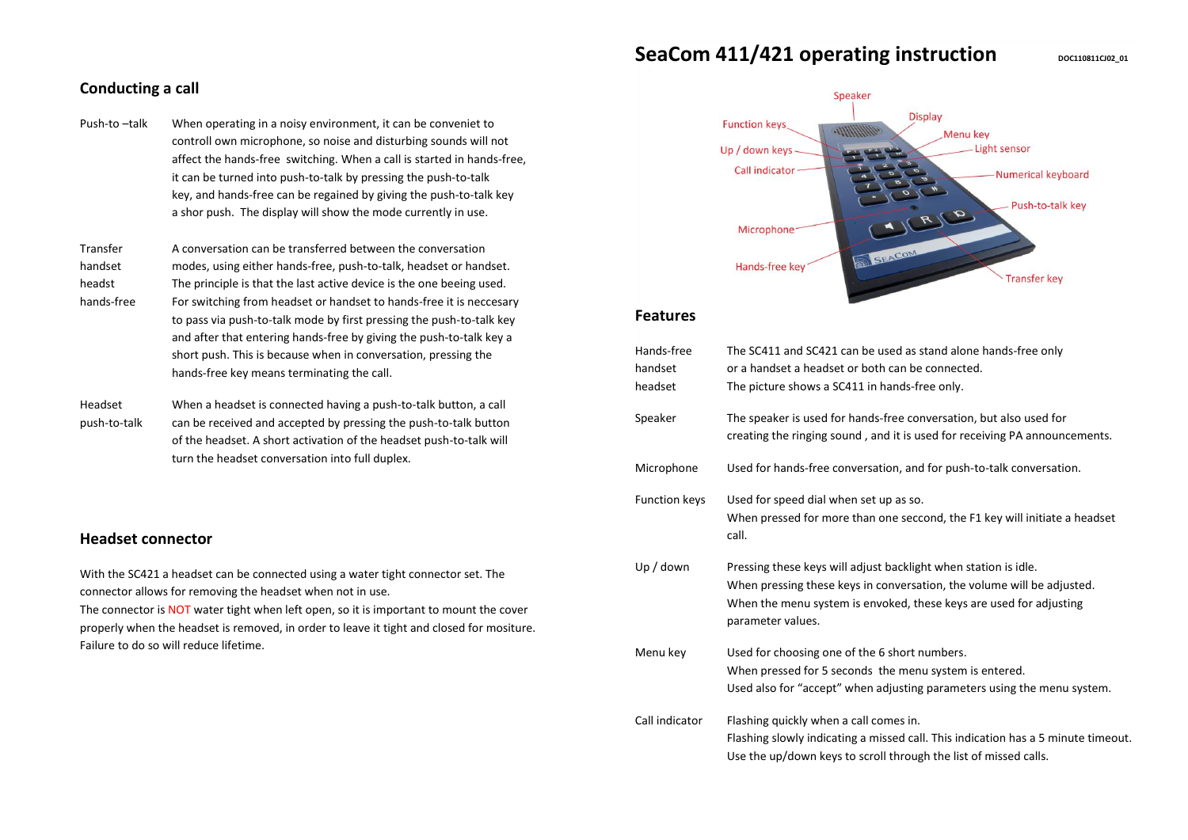# **SeaCom 411/421 operating instruction**  $\frac{1}{2}$  **DOC110811C02\_01**

# **Conducting a call**

Push-to –talk When operating in a noisy environment, it can be conveniet to controll own microphone, so noise and disturbing sounds will not affect the hands-free switching. When a call is started in hands-free, it can be turned into push-to-talk by pressing the push-to-talk key, and hands-free can be regained by giving the push-to-talk key a shor push. The display will show the mode currently in use.

Transfer A conversation can be transferred between the conversation handset modes, using either hands-free, push-to-talk, headset or handset. headst The principle is that the last active device is the one beeing used. hands-free For switching from headset or handset to hands-free it is neccesary to pass via push-to-talk mode by first pressing the push-to-talk key and after that entering hands-free by giving the push-to-talk key a short push. This is because when in conversation, pressing the hands-free key means terminating the call.

Headset When a headset is connected having a push-to-talk button, a call push-to-talk can be received and accepted by pressing the push-to-talk button of the headset. A short activation of the headset push-to-talk will turn the headset conversation into full duplex.

# **Headset connector**

With the SC421 a headset can be connected using a water tight connector set. The connector allows for removing the headset when not in use.

The connector is NOT water tight when left open, so it is important to mount the cover properly when the headset is removed, in order to leave it tight and closed for mositure. Failure to do so will reduce lifetime.



#### **Features**

| Hands-free           | The SC411 and SC421 can be used as stand alone hands-free only                                                                                   |
|----------------------|--------------------------------------------------------------------------------------------------------------------------------------------------|
| handset              | or a handset a headset or both can be connected.                                                                                                 |
| headset              | The picture shows a SC411 in hands-free only.                                                                                                    |
| Speaker              | The speaker is used for hands-free conversation, but also used for<br>creating the ringing sound, and it is used for receiving PA announcements. |
| Microphone           | Used for hands-free conversation, and for push-to-talk conversation.                                                                             |
| <b>Function keys</b> | Used for speed dial when set up as so.                                                                                                           |
|                      | When pressed for more than one seccond, the F1 key will initiate a headset<br>call.                                                              |
| Up / down            | Pressing these keys will adjust backlight when station is idle.                                                                                  |
|                      | When pressing these keys in conversation, the volume will be adjusted.                                                                           |
|                      | When the menu system is envoked, these keys are used for adjusting<br>parameter values.                                                          |
| Menu key             | Used for choosing one of the 6 short numbers.                                                                                                    |
|                      | When pressed for 5 seconds the menu system is entered.                                                                                           |
|                      | Used also for "accept" when adjusting parameters using the menu system.                                                                          |
| Call indicator       | Flashing quickly when a call comes in.                                                                                                           |
|                      | Flashing slowly indicating a missed call. This indication has a 5 minute timeout.                                                                |
|                      | Use the up/down keys to scroll through the list of missed calls.                                                                                 |